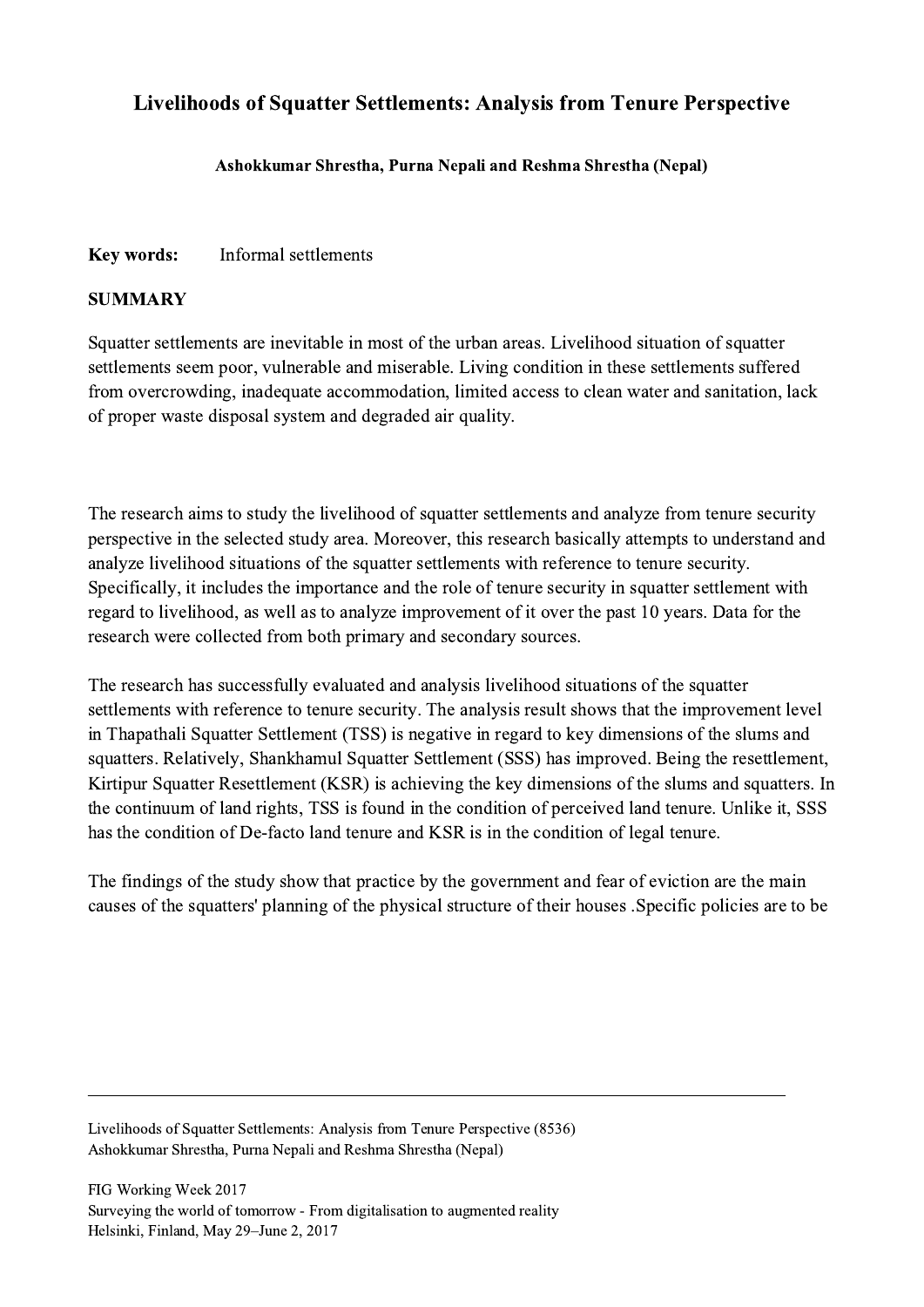## Livelihoods of Squatter Settlements: Analysis from Tenure Perspective

## Ashokkumar Shrestha, Purna Nepali and Reshma Shrestha (Nepal)

## Key words: Informal settlements

## **SUMMARY**

Squatter settlements are inevitable in most of the urban areas. Livelihood situation of squatter settlements seem poor, vulnerable and miserable. Living condition in these settlements suffered from overcrowding, inadequate accommodation, limited access to clean water and sanitation, lack of proper waste disposal system and degraded air quality.

The research aims to study the livelihood of squatter settlements and analyze from tenure security perspective in the selected study area. Moreover, this research basically attempts to understand and analyze livelihood situations of the squatter settlements with reference to tenure security. Specifically, it includes the importance and the role of tenure security in squatter settlement with regard to livelihood, as well as to analyze improvement of it over the past 10 years. Data for the research were collected from both primary and secondary sources.

The research has successfully evaluated and analysis livelihood situations of the squatter settlements with reference to tenure security. The analysis result shows that the improvement level in Thapathali Squatter Settlement (TSS) is negative in regard to key dimensions of the slums and squatters. Relatively, Shankhamul Squatter Settlement (SSS) has improved. Being the resettlement, Kirtipur Squatter Resettlement (KSR) is achieving the key dimensions of the slums and squatters. In the continuum of land rights, TSS is found in the condition of perceived land tenure. Unlike it, SSS has the condition of De-facto land tenure and KSR is in the condition of legal tenure.

The findings of the study show that practice by the government and fear of eviction are the main causes of the squatters' planning of the physical structure of their houses .Specific policies are to be

 $\mathcal{L}_\mathcal{L} = \{ \mathcal{L}_\mathcal{L} = \{ \mathcal{L}_\mathcal{L} = \{ \mathcal{L}_\mathcal{L} = \{ \mathcal{L}_\mathcal{L} = \{ \mathcal{L}_\mathcal{L} = \{ \mathcal{L}_\mathcal{L} = \{ \mathcal{L}_\mathcal{L} = \{ \mathcal{L}_\mathcal{L} = \{ \mathcal{L}_\mathcal{L} = \{ \mathcal{L}_\mathcal{L} = \{ \mathcal{L}_\mathcal{L} = \{ \mathcal{L}_\mathcal{L} = \{ \mathcal{L}_\mathcal{L} = \{ \mathcal{L}_\mathcal{$ 

Livelihoods of Squatter Settlements: Analysis from Tenure Perspective (8536) Ashokkumar Shrestha, Purna Nepali and Reshma Shrestha (Nepal)